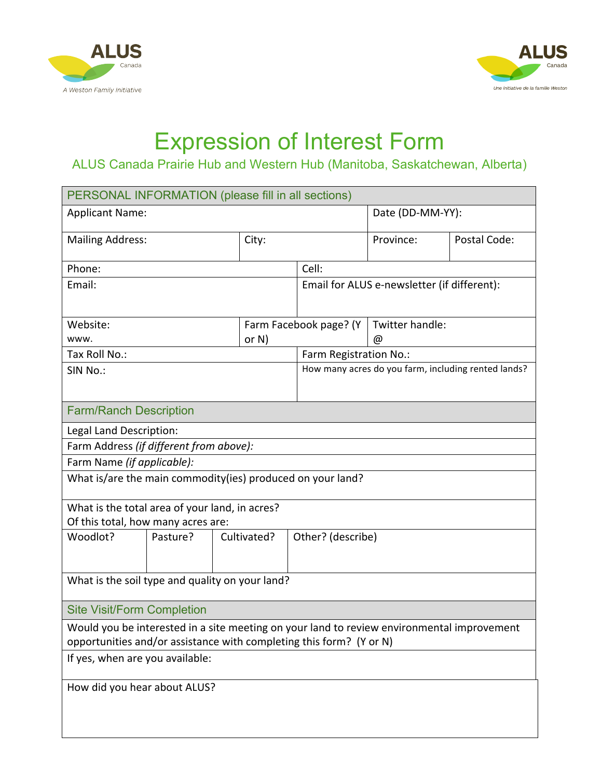



## Expression of Interest Form

## ALUS Canada Prairie Hub and Western Hub (Manitoba, Saskatchewan, Alberta)

| PERSONAL INFORMATION (please fill in all sections)                                         |          |             |                        |                                                     |                        |              |  |
|--------------------------------------------------------------------------------------------|----------|-------------|------------------------|-----------------------------------------------------|------------------------|--------------|--|
| <b>Applicant Name:</b>                                                                     |          |             |                        |                                                     | Date (DD-MM-YY):       |              |  |
| <b>Mailing Address:</b>                                                                    |          |             | City:                  |                                                     | Province:              | Postal Code: |  |
| Phone:                                                                                     |          |             | Cell:                  |                                                     |                        |              |  |
| Email:                                                                                     |          |             |                        | Email for ALUS e-newsletter (if different):         |                        |              |  |
| Website:                                                                                   |          |             | Farm Facebook page? (Y |                                                     | Twitter handle:        |              |  |
| www.                                                                                       |          | or $N$ )    |                        |                                                     | @                      |              |  |
| Tax Roll No.:                                                                              |          |             |                        |                                                     | Farm Registration No.: |              |  |
| SIN No.:                                                                                   |          |             |                        | How many acres do you farm, including rented lands? |                        |              |  |
| <b>Farm/Ranch Description</b>                                                              |          |             |                        |                                                     |                        |              |  |
| Legal Land Description:                                                                    |          |             |                        |                                                     |                        |              |  |
| Farm Address (if different from above):                                                    |          |             |                        |                                                     |                        |              |  |
| Farm Name (if applicable):                                                                 |          |             |                        |                                                     |                        |              |  |
| What is/are the main commodity(ies) produced on your land?                                 |          |             |                        |                                                     |                        |              |  |
| What is the total area of your land, in acres?                                             |          |             |                        |                                                     |                        |              |  |
| Of this total, how many acres are:                                                         |          |             |                        |                                                     |                        |              |  |
| Woodlot?                                                                                   | Pasture? | Cultivated? |                        | Other? (describe)                                   |                        |              |  |
|                                                                                            |          |             |                        |                                                     |                        |              |  |
| What is the soil type and quality on your land?                                            |          |             |                        |                                                     |                        |              |  |
| <b>Site Visit/Form Completion</b>                                                          |          |             |                        |                                                     |                        |              |  |
| Would you be interested in a site meeting on your land to review environmental improvement |          |             |                        |                                                     |                        |              |  |
| opportunities and/or assistance with completing this form? (Y or N)                        |          |             |                        |                                                     |                        |              |  |
| If yes, when are you available:                                                            |          |             |                        |                                                     |                        |              |  |
| How did you hear about ALUS?                                                               |          |             |                        |                                                     |                        |              |  |